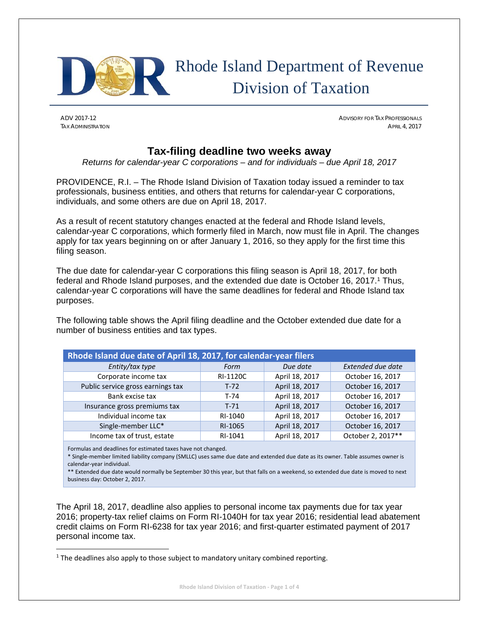

# Rhode Island Department of Revenue Division of Taxation

ADV 2017-12 ADVISORY FOR TAX PROFESSIONALS TAX ADMINISTRATION APRIL 4, 2017

# **Tax-filing deadline two weeks away**

*Returns for calendar-year C corporations – and for individuals – due April 18, 2017* 

PROVIDENCE, R.I. – The Rhode Island Division of Taxation today issued a reminder to tax professionals, business entities, and others that returns for calendar-year C corporations, individuals, and some others are due on April 18, 2017.

As a result of recent statutory changes enacted at the federal and Rhode Island levels, calendar-year C corporations, which formerly filed in March, now must file in April. The changes apply for tax years beginning on or after January 1, 2016, so they apply for the first time this filing season.

The due date for calendar-year C corporations this filing season is April 18, 2017, for both federal and Rhode Island purposes, and the extended due date is October 16, 2017.1 Thus, calendar-year C corporations will have the same deadlines for federal and Rhode Island tax purposes.

The following table shows the April filing deadline and the October extended due date for a number of business entities and tax types.

| Rhode Island due date of April 18, 2017, for calendar-year filers |          |                |                   |  |  |
|-------------------------------------------------------------------|----------|----------------|-------------------|--|--|
| Entity/tax type                                                   | Form     | Due date       | Extended due date |  |  |
| Corporate income tax                                              | RI-1120C | April 18, 2017 | October 16, 2017  |  |  |
| Public service gross earnings tax                                 | $T-72$   | April 18, 2017 | October 16, 2017  |  |  |
| Bank excise tax                                                   | T-74     | April 18, 2017 | October 16, 2017  |  |  |
| Insurance gross premiums tax                                      | $T-71$   | April 18, 2017 | October 16, 2017  |  |  |
| Individual income tax                                             | RI-1040  | April 18, 2017 | October 16, 2017  |  |  |
| Single-member LLC*                                                | RI-1065  | April 18, 2017 | October 16, 2017  |  |  |
| Income tax of trust, estate                                       | RI-1041  | April 18, 2017 | October 2, 2017** |  |  |

Formulas and deadlines for estimated taxes have not changed.

\* Single‐member limited liability company (SMLLC) uses same due date and extended due date as its owner. Table assumes owner is calendar‐year individual.

\*\* Extended due date would normally be September 30 this year, but that falls on a weekend, so extended due date is moved to next business day: October 2, 2017.

The April 18, 2017, deadline also applies to personal income tax payments due for tax year 2016; property-tax relief claims on Form RI-1040H for tax year 2016; residential lead abatement credit claims on Form RI-6238 for tax year 2016; and first-quarter estimated payment of 2017 personal income tax.

 $1$  The deadlines also apply to those subject to mandatory unitary combined reporting.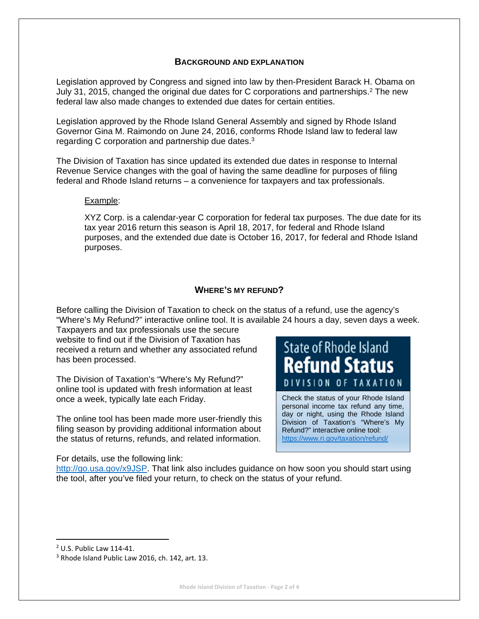# **BACKGROUND AND EXPLANATION**

Legislation approved by Congress and signed into law by then-President Barack H. Obama on July 31, 2015, changed the original due dates for C corporations and partnerships.2 The new federal law also made changes to extended due dates for certain entities.

Legislation approved by the Rhode Island General Assembly and signed by Rhode Island Governor Gina M. Raimondo on June 24, 2016, conforms Rhode Island law to federal law regarding C corporation and partnership due dates.3

The Division of Taxation has since updated its extended due dates in response to Internal Revenue Service changes with the goal of having the same deadline for purposes of filing federal and Rhode Island returns – a convenience for taxpayers and tax professionals.

#### Example:

XYZ Corp. is a calendar-year C corporation for federal tax purposes. The due date for its tax year 2016 return this season is April 18, 2017, for federal and Rhode Island purposes, and the extended due date is October 16, 2017, for federal and Rhode Island purposes.

# **WHERE'S MY REFUND?**

Before calling the Division of Taxation to check on the status of a refund, use the agency's "Where's My Refund?" interactive online tool. It is available 24 hours a day, seven days a week. Taxpayers and tax professionals use the secure

website to find out if the Division of Taxation has received a return and whether any associated refund has been processed.

The Division of Taxation's "Where's My Refund?" online tool is updated with fresh information at least once a week, typically late each Friday.

The online tool has been made more user-friendly this filing season by providing additional information about the status of returns, refunds, and related information.

**State of Rhode Island Refund Status** SION OF TAXATION

Check the status of your Rhode Island personal income tax refund any time, day or night, using the Rhode Island Division of Taxation's "Where's My Refund?" interactive online tool: https://www.ri.gov/taxation/refund/

#### For details, use the following link:

http://go.usa.gov/x9JSP. That link also includes guidance on how soon you should start using the tool, after you've filed your return, to check on the status of your refund.

<sup>2</sup> U.S. Public Law 114‐41.

<sup>&</sup>lt;sup>3</sup> Rhode Island Public Law 2016, ch. 142, art. 13.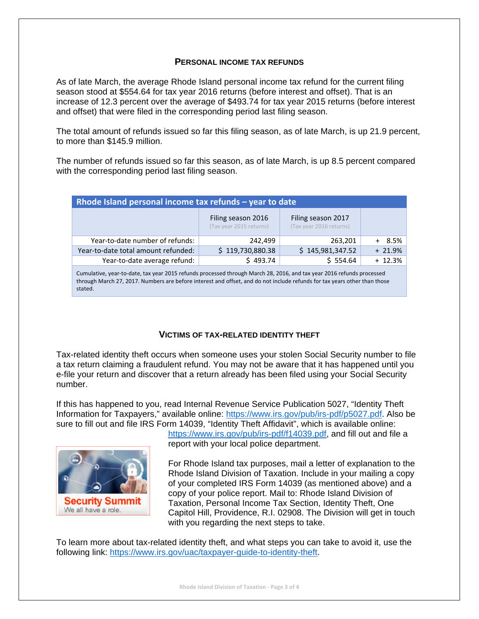### **PERSONAL INCOME TAX REFUNDS**

As of late March, the average Rhode Island personal income tax refund for the current filing season stood at \$554.64 for tax year 2016 returns (before interest and offset). That is an increase of 12.3 percent over the average of \$493.74 for tax year 2015 returns (before interest and offset) that were filed in the corresponding period last filing season.

The total amount of refunds issued so far this filing season, as of late March, is up 21.9 percent, to more than \$145.9 million.

The number of refunds issued so far this season, as of late March, is up 8.5 percent compared with the corresponding period last filing season.

| Rhode Island personal income tax refunds - year to date |                                               |                                               |           |  |  |  |
|---------------------------------------------------------|-----------------------------------------------|-----------------------------------------------|-----------|--|--|--|
|                                                         | Filing season 2016<br>(Tax year 2015 returns) | Filing season 2017<br>(Tax year 2016 returns) |           |  |  |  |
| Year-to-date number of refunds:                         | 242,499                                       | 263,201                                       | $8.5\%$   |  |  |  |
| Year-to-date total amount refunded:                     | \$119,730,880.38                              | \$145,981,347.52                              | $+ 21.9%$ |  |  |  |
| Year-to-date average refund:                            | \$493.74                                      | \$554.64                                      | $+ 12.3%$ |  |  |  |

Cumulative, year‐to‐date, tax year 2015 refunds processed through March 28, 2016, and tax year 2016 refunds processed through March 27, 2017. Numbers are before interest and offset, and do not include refunds for tax years other than those stated.

#### **VICTIMS OF TAX-RELATED IDENTITY THEFT**

Tax-related identity theft occurs when someone uses your stolen Social Security number to file a tax return claiming a fraudulent refund. You may not be aware that it has happened until you e-file your return and discover that a return already has been filed using your Social Security number.

If this has happened to you, read Internal Revenue Service Publication 5027, "Identity Theft Information for Taxpayers," available online: https://www.irs.gov/pub/irs-pdf/p5027.pdf. Also be sure to fill out and file IRS Form 14039, "Identity Theft Affidavit", which is available online:



https://www.irs.gov/pub/irs-pdf/f14039.pdf, and fill out and file a report with your local police department.

For Rhode Island tax purposes, mail a letter of explanation to the Rhode Island Division of Taxation. Include in your mailing a copy of your completed IRS Form 14039 (as mentioned above) and a copy of your police report. Mail to: Rhode Island Division of Taxation, Personal Income Tax Section, Identity Theft, One Capitol Hill, Providence, R.I. 02908. The Division will get in touch with you regarding the next steps to take.

To learn more about tax-related identity theft, and what steps you can take to avoid it, use the following link: https://www.irs.gov/uac/taxpayer-guide-to-identity-theft.